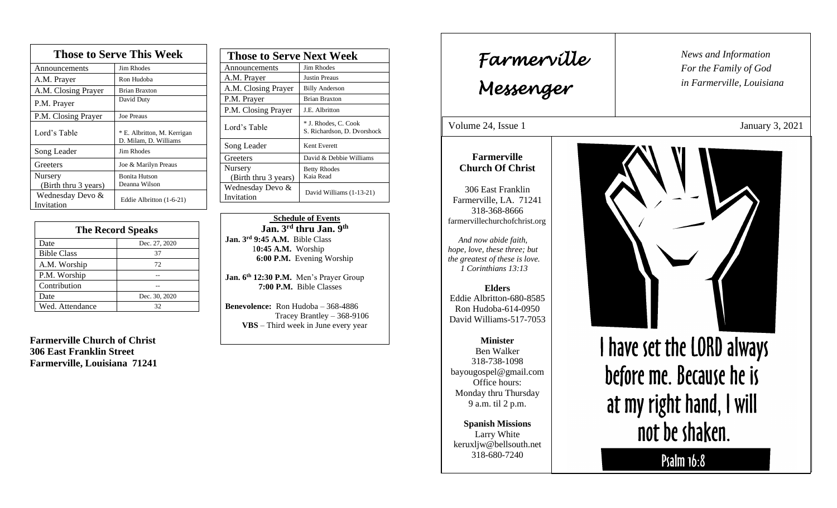| <b>Those to Serve This Week</b> |                                                      |
|---------------------------------|------------------------------------------------------|
| Announcements                   | Jim Rhodes                                           |
| A.M. Prayer                     | Ron Hudoba                                           |
| A.M. Closing Prayer             | <b>Brian Braxton</b>                                 |
| P.M. Prayer                     | David Duty                                           |
| P.M. Closing Prayer             | Joe Preaus                                           |
| Lord's Table                    | * E. Albritton, M. Kerrigan<br>D. Milam, D. Williams |
| Song Leader                     | Jim Rhodes                                           |
| Greeters                        | Joe & Marilyn Preaus                                 |
| Nursery<br>(Birth thru 3 years) | <b>Bonita Hutson</b><br>Deanna Wilson                |
| Wednesday Devo &<br>Invitation  | Eddie Albritton (1-6-21)                             |

| <b>The Record Speaks</b> |               |
|--------------------------|---------------|
| Date                     | Dec. 27, 2020 |
| <b>Bible Class</b>       | 37            |
| A.M. Worship             | 72            |
| P.M. Worship             |               |
| Contribution             |               |
| Date                     | Dec. 30, 2020 |
| Wed. Attendance          | 32            |

**Farmerville Church of Christ 306 East Franklin Street Farmerville, Louisiana 71241**

| <b>Those to Serve Next Week</b> |                                                     |
|---------------------------------|-----------------------------------------------------|
| Announcements                   | Jim Rhodes                                          |
| A.M. Prayer                     | <b>Justin Preaus</b>                                |
| A.M. Closing Prayer             | <b>Billy Anderson</b>                               |
| P.M. Prayer                     | <b>Brian Braxton</b>                                |
| P.M. Closing Prayer             | J.E. Albritton                                      |
| Lord's Table                    | * J. Rhodes, C. Cook<br>S. Richardson, D. Dvorshock |
| Song Leader                     | Kent Everett                                        |
| Greeters                        | David & Debbie Williams                             |
| Nursery<br>(Birth thru 3 years) | <b>Betty Rhodes</b><br>Kaia Read                    |
| Wednesday Devo &<br>Invitation  | David Williams (1-13-21)                            |

 **Schedule of Events Jan. 3rd thru Jan. 9 th Jan. 3rd 9:45 A.M.** Bible Class 1**0:45 A.M.** Worship  **6:00 P.M.** Evening Worship

**Jan. 6th 12:30 P.M.** Men's Prayer Group **7:00 P.M.** Bible Classes

**Benevolence:** Ron Hudoba – 368-4886 Tracey Brantley – 368-9106 **VBS** – Third week in June every year

*News and Information* **Farmerville**  $\parallel$  News and *For the Family of God in Farmerville, Louisiana Messenger*  Volume 24, Issue 1 January 3, 2021 , 2015 **Farmerville Church Of Christ** 306 East Franklin Farmerville, LA. 71241 318-368-8666 farmervillechurchofchrist.org *And now abide faith, hope, love, these three; but the greatest of these is love. 1 Corinthians 13:13* **Elders** Eddie Albritton-680-8585 Ron Hudoba-614-0950 David Williams-517-7053 I have set the LORD always **Minister** Ben Walker 318-738-1098 before me. Because he is bayougospel@gmail.com Office hours: Monday thru Thursday at my right hand, I will 9 a.m. til 2 p.m. **Spanish Missions** not be shaken. Larry White keruxljw@bellsouth.net 318-680-7240 Psalm 16:8